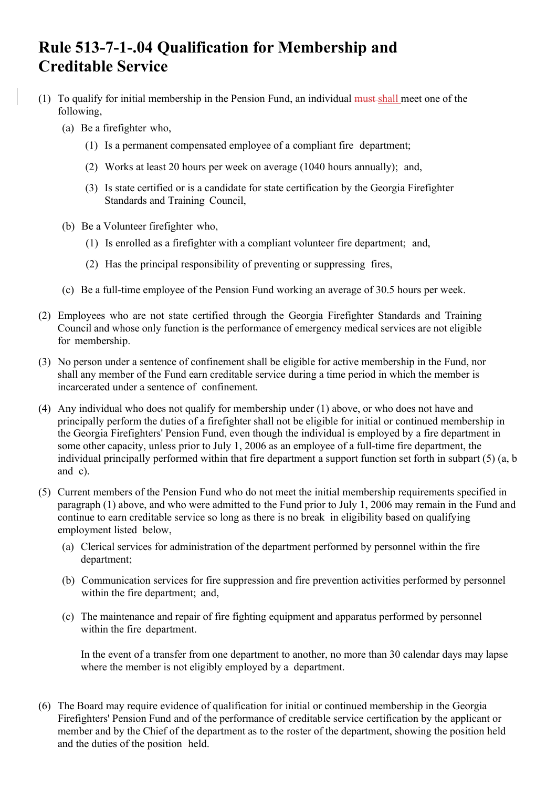## **Rule 513-7-1-.04 Qualification for Membership and Creditable Service**

- (1) To qualify for initial membership in the Pension Fund, an individual must shall meet one of the following,
	- (a) Be a firefighter who,
		- (1) Is a permanent compensated employee of a compliant fire department;
		- (2) Works at least 20 hours per week on average (1040 hours annually); and,
		- (3) Is state certified or is a candidate for state certification by the Georgia Firefighter Standards and Training Council,
	- (b) Be a Volunteer firefighter who,
		- (1) Is enrolled as a firefighter with a compliant volunteer fire department; and,
		- (2) Has the principal responsibility of preventing or suppressing fires,
	- (c) Be a full-time employee of the Pension Fund working an average of 30.5 hours per week.
- (2) Employees who are not state certified through the Georgia Firefighter Standards and Training Council and whose only function is the performance of emergency medical services are not eligible for membership.
- (3) No person under a sentence of confinement shall be eligible for active membership in the Fund, nor shall any member of the Fund earn creditable service during a time period in which the member is incarcerated under a sentence of confinement.
- (4) Any individual who does not qualify for membership under (1) above, or who does not have and principally perform the duties of a firefighter shall not be eligible for initial or continued membership in the Georgia Firefighters' Pension Fund, even though the individual is employed by a fire department in some other capacity, unless prior to July 1, 2006 as an employee of a full-time fire department, the individual principally performed within that fire department a support function set forth in subpart (5) (a, b and c).
- (5) Current members of the Pension Fund who do not meet the initial membership requirements specified in paragraph (1) above, and who were admitted to the Fund prior to July 1, 2006 may remain in the Fund and continue to earn creditable service so long as there is no break in eligibility based on qualifying employment listed below,
	- (a) Clerical services for administration of the department performed by personnel within the fire department;
	- (b) Communication services for fire suppression and fire prevention activities performed by personnel within the fire department; and,
	- (c) The maintenance and repair of fire fighting equipment and apparatus performed by personnel within the fire department.

In the event of a transfer from one department to another, no more than 30 calendar days may lapse where the member is not eligibly employed by a department.

(6) The Board may require evidence of qualification for initial or continued membership in the Georgia Firefighters' Pension Fund and of the performance of creditable service certification by the applicant or member and by the Chief of the department as to the roster of the department, showing the position held and the duties of the position held.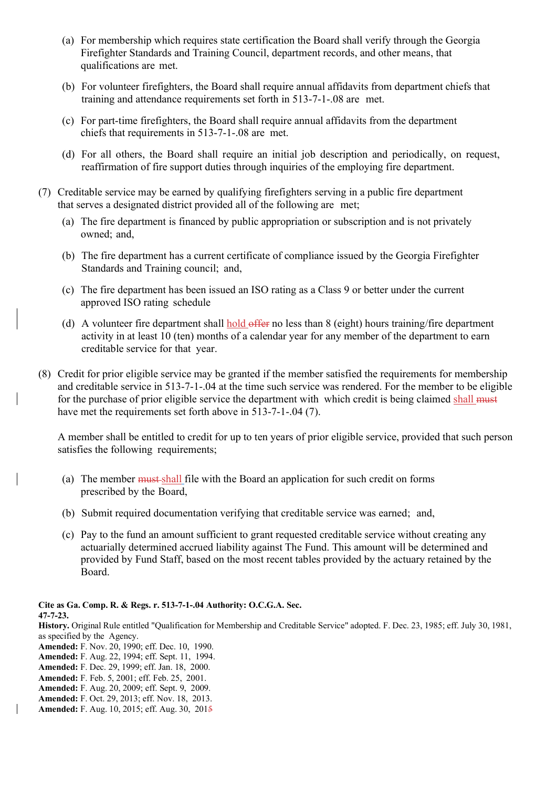- (a) For membership which requires state certification the Board shall verify through the Georgia Firefighter Standards and Training Council, department records, and other means, that qualifications are met.
- (b) For volunteer firefighters, the Board shall require annual affidavits from department chiefs that training and attendance requirements set forth in 513-7-1-.08 are met.
- (c) For part-time firefighters, the Board shall require annual affidavits from the department chiefs that requirements in 513-7-1-.08 are met.
- (d) For all others, the Board shall require an initial job description and periodically, on request, reaffirmation of fire support duties through inquiries of the employing fire department.
- (7) Creditable service may be earned by qualifying firefighters serving in a public fire department that serves a designated district provided all of the following are met;
	- (a) The fire department is financed by public appropriation or subscription and is not privately owned; and,
	- (b) The fire department has a current certificate of compliance issued by the Georgia Firefighter Standards and Training council; and,
	- (c) The fire department has been issued an ISO rating as a Class 9 or better under the current approved ISO rating schedule
	- (d) A volunteer fire department shall hold offer no less than  $8$  (eight) hours training/fire department activity in at least 10 (ten) months of a calendar year for any member of the department to earn creditable service for that year.
- (8) Credit for prior eligible service may be granted if the member satisfied the requirements for membership and creditable service in 513-7-1-.04 at the time such service was rendered. For the member to be eligible for the purchase of prior eligible service the department with which credit is being claimed shall must have met the requirements set forth above in 513-7-1-.04 (7).

A member shall be entitled to credit for up to ten years of prior eligible service, provided that such person satisfies the following requirements;

- (a) The member must shall file with the Board an application for such credit on forms prescribed by the Board,
- (b) Submit required documentation verifying that creditable service was earned; and,
- (c) Pay to the fund an amount sufficient to grant requested creditable service without creating any actuarially determined accrued liability against The Fund. This amount will be determined and provided by Fund Staff, based on the most recent tables provided by the actuary retained by the Board.

**Cite as Ga. Comp. R. & Regs. r. 513-7-1-.04 Authority: O.C.G.A. Sec. 47-7-23.** 

**History.** Original Rule entitled "Qualification for Membership and Creditable Service" adopted. F. Dec. 23, 1985; eff. July 30, 1981, as specified by the Agency.

- **Amended:** F. Nov. 20, 1990; eff. Dec. 10, 1990.
- **Amended:** F. Aug. 22, 1994; eff. Sept. 11, 1994.
- **Amended:** F. Dec. 29, 1999; eff. Jan. 18, 2000.
- **Amended:** F. Feb. 5, 2001; eff. Feb. 25, 2001.
- **Amended:** F. Aug. 20, 2009; eff. Sept. 9, 2009.
- **Amended:** F. Oct. 29, 2013; eff. Nov. 18, 2013. **Amended:** F. Aug. 10, 2015; eff. Aug. 30, 2015